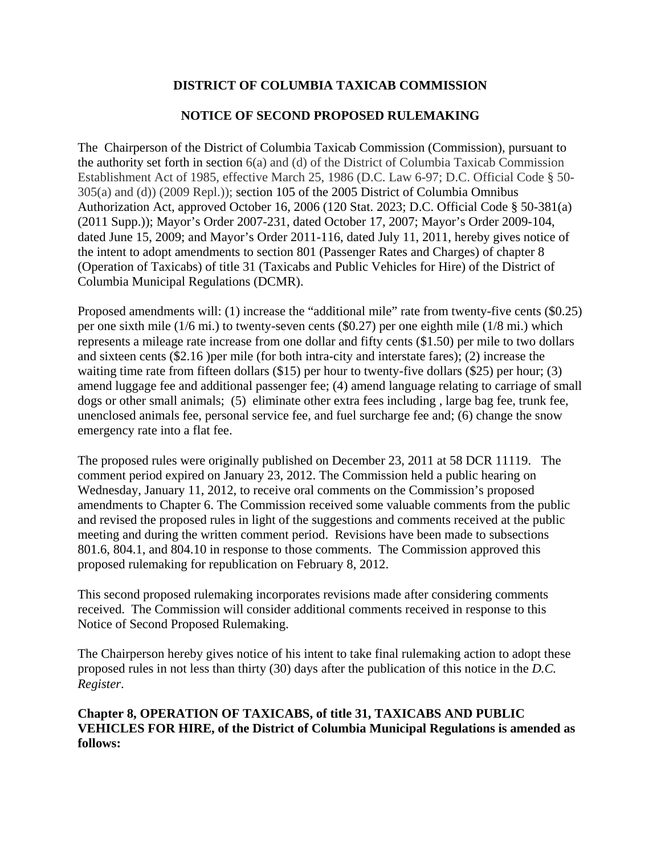# **DISTRICT OF COLUMBIA TAXICAB COMMISSION**

# **NOTICE OF SECOND PROPOSED RULEMAKING**

The Chairperson of the District of Columbia Taxicab Commission (Commission), pursuant to the authority set forth in section 6(a) and (d) of the District of Columbia Taxicab Commission Establishment Act of 1985, effective March 25, 1986 (D.C. Law 6-97; D.C. Official Code § 50- 305(a) and (d)) (2009 Repl.)); section 105 of the 2005 District of Columbia Omnibus Authorization Act, approved October 16, 2006 (120 Stat. 2023; D.C. Official Code § 50-381(a) (2011 Supp.)); Mayor's Order 2007-231, dated October 17, 2007; Mayor's Order 2009-104, dated June 15, 2009; and Mayor's Order 2011-116, dated July 11, 2011, hereby gives notice of the intent to adopt amendments to section 801 (Passenger Rates and Charges) of chapter 8 (Operation of Taxicabs) of title 31 (Taxicabs and Public Vehicles for Hire) of the District of Columbia Municipal Regulations (DCMR).

Proposed amendments will: (1) increase the "additional mile" rate from twenty-five cents (\$0.25) per one sixth mile (1/6 mi.) to twenty-seven cents (\$0.27) per one eighth mile (1/8 mi.) which represents a mileage rate increase from one dollar and fifty cents (\$1.50) per mile to two dollars and sixteen cents (\$2.16 )per mile (for both intra-city and interstate fares); (2) increase the waiting time rate from fifteen dollars (\$15) per hour to twenty-five dollars (\$25) per hour; (3) amend luggage fee and additional passenger fee; (4) amend language relating to carriage of small dogs or other small animals; (5) eliminate other extra fees including , large bag fee, trunk fee, unenclosed animals fee, personal service fee, and fuel surcharge fee and; (6) change the snow emergency rate into a flat fee.

The proposed rules were originally published on December 23, 2011 at 58 DCR 11119. The comment period expired on January 23, 2012. The Commission held a public hearing on Wednesday, January 11, 2012, to receive oral comments on the Commission's proposed amendments to Chapter 6. The Commission received some valuable comments from the public and revised the proposed rules in light of the suggestions and comments received at the public meeting and during the written comment period. Revisions have been made to subsections 801.6, 804.1, and 804.10 in response to those comments. The Commission approved this proposed rulemaking for republication on February 8, 2012.

This second proposed rulemaking incorporates revisions made after considering comments received. The Commission will consider additional comments received in response to this Notice of Second Proposed Rulemaking.

The Chairperson hereby gives notice of his intent to take final rulemaking action to adopt these proposed rules in not less than thirty (30) days after the publication of this notice in the *D.C. Register*.

# **Chapter 8, OPERATION OF TAXICABS, of title 31, TAXICABS AND PUBLIC VEHICLES FOR HIRE, of the District of Columbia Municipal Regulations is amended as follows:**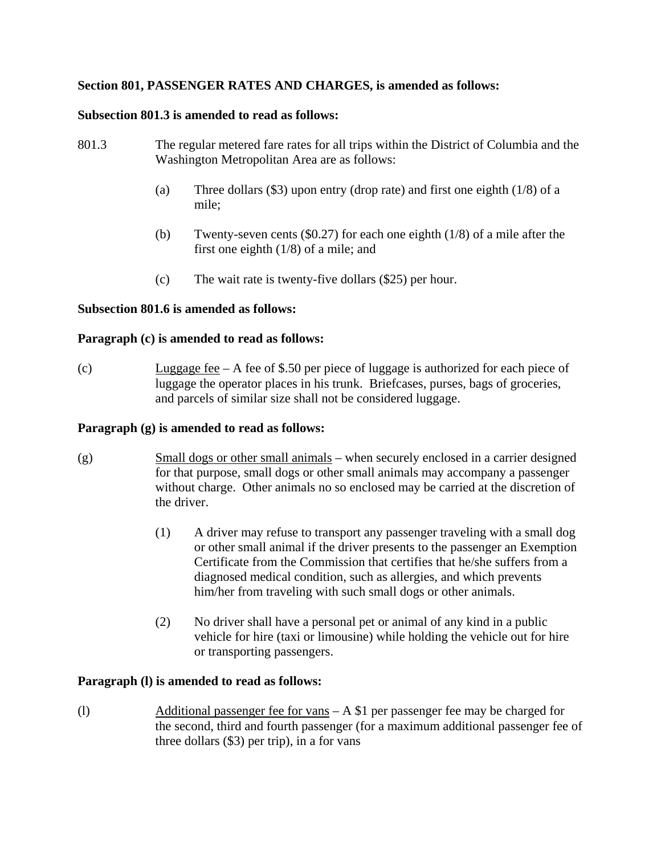# **Section 801, PASSENGER RATES AND CHARGES, is amended as follows:**

### **Subsection 801.3 is amended to read as follows:**

- 801.3 The regular metered fare rates for all trips within the District of Columbia and the Washington Metropolitan Area are as follows:
	- (a) Three dollars (\$3) upon entry (drop rate) and first one eighth (1/8) of a mile;
	- (b) Twenty-seven cents (\$0.27) for each one eighth (1/8) of a mile after the first one eighth (1/8) of a mile; and
	- (c) The wait rate is twenty-five dollars (\$25) per hour.

## **Subsection 801.6 is amended as follows:**

### **Paragraph (c) is amended to read as follows:**

(c) Luggage fee – A fee of \$.50 per piece of luggage is authorized for each piece of luggage the operator places in his trunk. Briefcases, purses, bags of groceries, and parcels of similar size shall not be considered luggage.

### **Paragraph (g) is amended to read as follows:**

- (g) Small dogs or other small animals when securely enclosed in a carrier designed for that purpose, small dogs or other small animals may accompany a passenger without charge. Other animals no so enclosed may be carried at the discretion of the driver.
	- (1) A driver may refuse to transport any passenger traveling with a small dog or other small animal if the driver presents to the passenger an Exemption Certificate from the Commission that certifies that he/she suffers from a diagnosed medical condition, such as allergies, and which prevents him/her from traveling with such small dogs or other animals.
	- (2) No driver shall have a personal pet or animal of any kind in a public vehicle for hire (taxi or limousine) while holding the vehicle out for hire or transporting passengers.

#### **Paragraph (l) is amended to read as follows:**

(l) Additional passenger fee for vans – A \$1 per passenger fee may be charged for the second, third and fourth passenger (for a maximum additional passenger fee of three dollars (\$3) per trip), in a for vans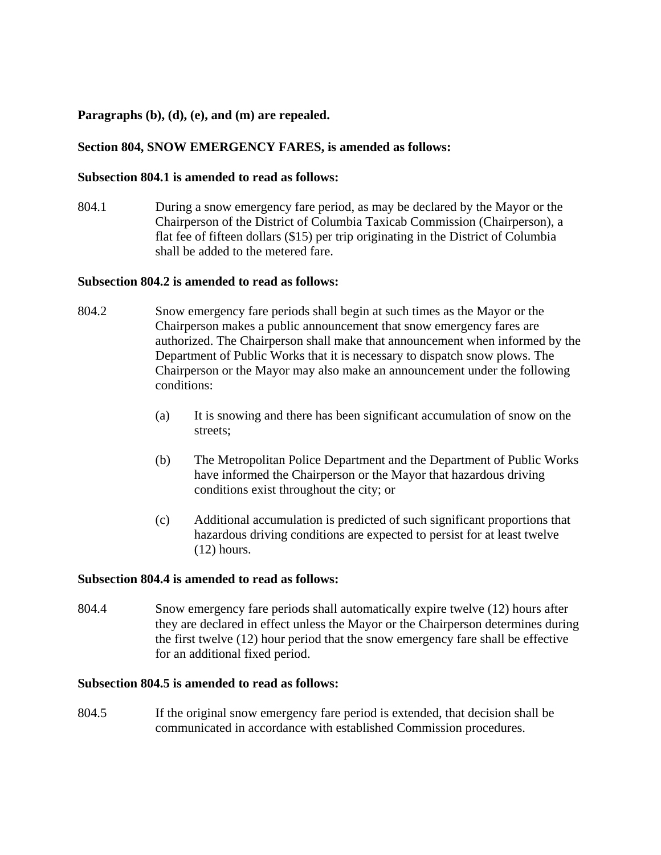## **Paragraphs (b), (d), (e), and (m) are repealed.**

# **Section 804, SNOW EMERGENCY FARES, is amended as follows:**

### **Subsection 804.1 is amended to read as follows:**

804.1 During a snow emergency fare period, as may be declared by the Mayor or the Chairperson of the District of Columbia Taxicab Commission (Chairperson), a flat fee of fifteen dollars (\$15) per trip originating in the District of Columbia shall be added to the metered fare.

### **Subsection 804.2 is amended to read as follows:**

- 804.2 Snow emergency fare periods shall begin at such times as the Mayor or the Chairperson makes a public announcement that snow emergency fares are authorized. The Chairperson shall make that announcement when informed by the Department of Public Works that it is necessary to dispatch snow plows. The Chairperson or the Mayor may also make an announcement under the following conditions:
	- (a) It is snowing and there has been significant accumulation of snow on the streets;
	- (b) The Metropolitan Police Department and the Department of Public Works have informed the Chairperson or the Mayor that hazardous driving conditions exist throughout the city; or
	- (c) Additional accumulation is predicted of such significant proportions that hazardous driving conditions are expected to persist for at least twelve (12) hours.

#### **Subsection 804.4 is amended to read as follows:**

804.4 Snow emergency fare periods shall automatically expire twelve (12) hours after they are declared in effect unless the Mayor or the Chairperson determines during the first twelve (12) hour period that the snow emergency fare shall be effective for an additional fixed period.

## **Subsection 804.5 is amended to read as follows:**

804.5 If the original snow emergency fare period is extended, that decision shall be communicated in accordance with established Commission procedures.